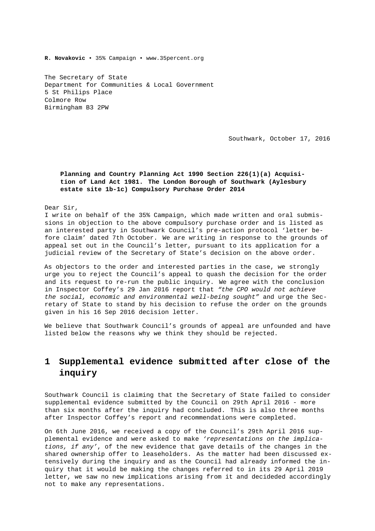**R. Novakovic** • 35% Campaign • www.35percent.org

The Secretary of State Department for Communities & Local Government 5 St Philips Place Colmore Row Birmingham B3 2PW

Southwark, October 17, 2016

#### **Planning and Country Planning Act 1990 Section 226(1)(a) Acquisition of Land Act 1981. The London Borough of Southwark (Aylesbury estate site 1b-1c) Compulsory Purchase Order 2014**

Dear Sir,

I write on behalf of the 35% Campaign, which made written and oral submissions in objection to the above compulsory purchase order and is listed as an interested party in Southwark Council's pre-action protocol 'letter before claim' dated 7th October. We are writing in response to the grounds of appeal set out in the Council's letter, pursuant to its application for a judicial review of the Secretary of State's decision on the above order.

As objectors to the order and interested parties in the case, we strongly urge you to reject the Council's appeal to quash the decision for the order and its request to re-run the public inquiry. We agree with the conclusion in Inspector Coffey's 29 Jan 2016 report that *"the CPO would not achieve the social, economic and environmental well-being sought"* and urge the Secretary of State to stand by his decision to refuse the order on the grounds given in his 16 Sep 2016 decision letter.

We believe that Southwark Council's grounds of appeal are unfounded and have listed below the reasons why we think they should be rejected.

# **1 Supplemental evidence submitted after close of the inquiry**

Southwark Council is claiming that the Secretary of State failed to consider supplemental evidence submitted by the Council on 29th April 2016 - more than six months after the inquiry had concluded. This is also three months after Inspector Coffey's report and recommendations were completed.

On 6th June 2016, we received a copy of the Council's 29th April 2016 supplemental evidence and were asked to make *'representations on the implications, if any'*, of the new evidence that gave details of the changes in the shared ownership offer to leaseholders. As the matter had been discussed extensively during the inquiry and as the Council had already informed the inquiry that it would be making the changes referred to in its 29 April 2019 letter, we saw no new implications arising from it and decideded accordingly not to make any representations.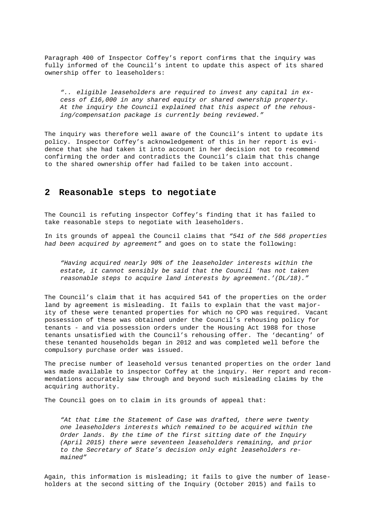Paragraph 400 of Inspector Coffey's report confirms that the inquiry was fully informed of the Council's intent to update this aspect of its shared ownership offer to leaseholders:

*".. eligible leaseholders are required to invest any capital in excess of £16,000 in any shared equity or shared ownership property. At the inquiry the Council explained that this aspect of the rehousing/compensation package is currently being reviewed."*

The inquiry was therefore well aware of the Council's intent to update its policy. Inspector Coffey's acknowledgement of this in her report is evidence that she had taken it into account in her decision not to recommend confirming the order and contradicts the Council's claim that this change to the shared ownership offer had failed to be taken into account.

### **2 Reasonable steps to negotiate**

The Council is refuting inspector Coffey's finding that it has failed to take reasonable steps to negotiate with leaseholders.

In its grounds of appeal the Council claims that *"541 of the 566 properties had been acquired by agreement"* and goes on to state the following:

*"Having acquired nearly 90% of the leaseholder interests within the estate, it cannot sensibly be said that the Council 'has not taken reasonable steps to acquire land interests by agreement.'(DL/18)."*

The Council's claim that it has acquired 541 of the properties on the order land by agreement is misleading. It fails to explain that the vast majority of these were tenanted properties for which no CPO was required. Vacant possession of these was obtained under the Council's rehousing policy for tenants - and via possession orders under the Housing Act 1988 for those tenants unsatisfied with the Council's rehousing offer. The 'decanting' of these tenanted households began in 2012 and was completed well before the compulsory purchase order was issued.

The precise number of leasehold versus tenanted properties on the order land was made available to inspector Coffey at the inquiry. Her report and recommendations accurately saw through and beyond such misleading claims by the acquiring authority.

The Council goes on to claim in its grounds of appeal that:

*"At that time the Statement of Case was drafted, there were twenty one leaseholders interests which remained to be acquired within the Order lands. By the time of the first sitting date of the Inquiry (April 2015) there were seventeen leaseholders remaining, and prior to the Secretary of State's decision only eight leaseholders remained"*

Again, this information is misleading; it fails to give the number of leaseholders at the second sitting of the Inquiry (October 2015) and fails to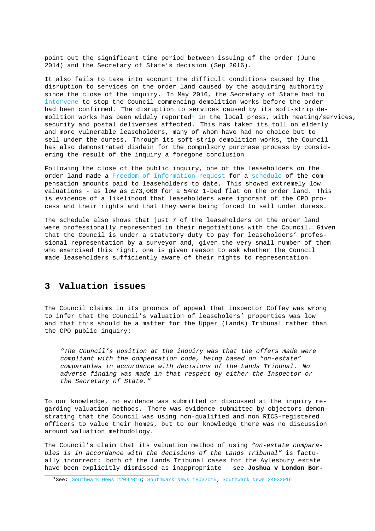point out the significant time period between issuing of the order (June 2014) and the Secretary of State's decision (Sep 2016).

It also fails to take into account the difficult conditions caused by the disruption to services on the order land caused by the acquiring authority since the close of the inquiry. In May 2016, the Secretary of State had to intervene to stop the Council commencing demolition works before the order had been confirmed. The disruption to services caused by its soft-strip demolition works has been widely reported<sup>1</sup> in the local press, with heating/services, security and postal deliveries affected. This has taken its toll on elderly [and more v](http://35percent.org/2016-05-07-southwark-in-bottom-3-boroughs-for-affordable-housing-delivery/#aylesbury-bashing)ulnerable leaseholders, many of whom have had no choice but to sell under the duress. Through its soft-strip demolition works, the Council has also demonstrated disdain for the [co](#page-2-0)mpulsory purchase process by considering the result of the inquiry a foregone conclusion.

Following the close of the public inquiry, one of the leaseholders on the order land made a Freedom of Information request for a schedule of the compensation amounts paid to leaseholders to date. This showed extremely low valuations - as low as £73,000 for a 54m2 1-bed flat on the order land. This is evidence of a likelihood that leaseholders were ignorant of the CPO process and their ri[ghts and that they were being fo](https://www.whatdotheyknow.com/request/schedule_of_aylesbury_estate_com)rced t[o sell un](https://www.whatdotheyknow.com/request/319578/response/791449/attach/4/609481%20J.Bos%20Response%20Attachment.pdf)der duress.

The schedule also shows that just 7 of the leaseholders on the order land were professionally represented in their negotiations with the Council. Given that the Council is under a statutory duty to pay for leaseholders' professional representation by a surveyor and, given the very small number of them who exercised this right, one is given reason to ask whether the Council made leaseholders sufficiently aware of their rights to representation.

### **3 Valuation issues**

The Council claims in its grounds of appeal that inspector Coffey was wrong to infer that the Council's valuation of leaseholers' properties was low and that this should be a matter for the Upper (Lands) Tribunal rather than the CPO public inquiry:

*"The Council's position at the inquiry was that the offers made were compliant with the compensation code, being based on "on-estate" comparables in accordance with decisions of the Lands Tribunal. No adverse finding was made in that respect by either the Inspector or the Secretary of State."*

To our knowledge, no evidence was submitted or discussed at the inquiry regarding valuation methods. There was evidence submitted by objectors demonstrating that the Council was using non-qualified and non RICS-registered officers to value their homes, but to our knowledge there was no discussion around valuation methodology.

The Council's claim that its valuation method of using *"on-estate comparables is in accordance with the decisions of the Lands Tribunal"* is factually incorrect: both of the Lands Tribunal cases for the Aylesbury estate have been explicitly dismissed as inappropriate - see **Joshua v London Bor-**

<span id="page-2-0"></span><sup>1</sup>See: Southwark News 22092016; Southwark News 18032015; Southwark News 24032016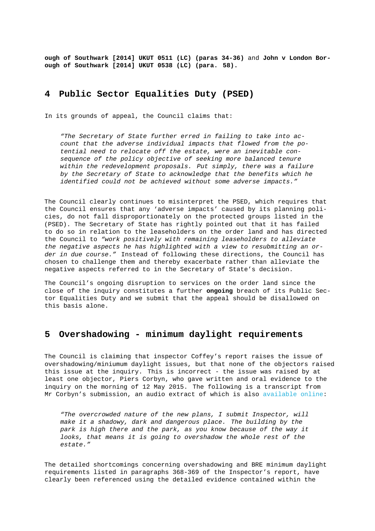**ough of Southwark [2014] UKUT 0511 (LC) (paras 34-36)** and **John v London Borough of Southwark [2014] UKUT 0538 (LC) (para. 58).**

### **4 Public Sector Equalities Duty (PSED)**

In its grounds of appeal, the Council claims that:

*"The Secretary of State further erred in failing to take into account that the adverse individual impacts that flowed from the potential need to relocate off the estate, were an inevitable consequence of the policy objective of seeking more balanced tenure within the redevelopment proposals. Put simply, there was a failure by the Secretary of State to acknowledge that the benefits which he identified could not be achieved without some adverse impacts."*

The Council clearly continues to misinterpret the PSED, which requires that the Council ensures that any 'adverse impacts' caused by its planning policies, do not fall disproportionately on the protected groups listed in the (PSED). The Secretary of State has rightly pointed out that it has failed to do so in relation to the leaseholders on the order land and has directed the Council to *"work positively with remaining leaseholders to alleviate the negative aspects he has highlighted with a view to resubmitting an order in due course."* Instead of following these directions, the Council has chosen to challenge them and thereby exacerbate rather than alleviate the negative aspects referred to in the Secretary of State's decision.

The Council's ongoing disruption to services on the order land since the close of the inquiry constitutes a further **ongoing** breach of its Public Sector Equalities Duty and we submit that the appeal should be disallowed on this basis alone.

## **5 Overshadowing - minimum daylight requirements**

The Council is claiming that inspector Coffey's report raises the issue of overshadowing/miniumum daylight issues, but that none of the objectors raised this issue at the inquiry. This is incorrect - the issue was raised by at least one objector, Piers Corbyn, who gave written and oral evidence to the inquiry on the morning of 12 May 2015. The following is a transcript from Mr Corbyn's submission, an audio extract of which is also available online:

*"The overcrowded nature of the new plans, I submit Inspector, will make it a shadowy, dark and dangerous place. The building by the park is high there and the park, as you know because [of the way it](https://youtu.be/LMx8CfY3PbM) looks, that means it is going to overshadow the whole rest of the estate."*

The detailed shortcomings concerning overshadowing and BRE minimum daylight requirements listed in paragraphs 368-369 of the Inspector's report, have clearly been referenced using the detailed evidence contained within the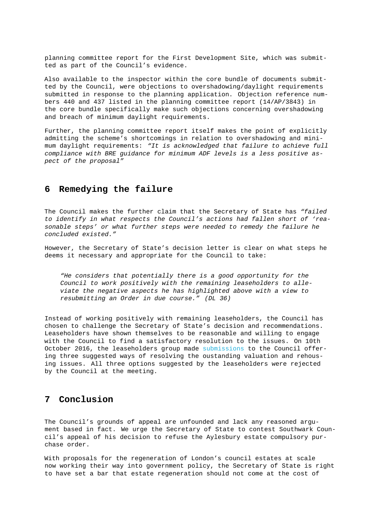planning committee report for the First Development Site, which was submitted as part of the Council's evidence.

Also available to the inspector within the core bundle of documents submitted by the Council, were objections to overshadowing/daylight requirements submitted in response to the planning application. Objection reference numbers 440 and 437 listed in the planning committee report (14/AP/3843) in the core bundle specifically make such objections concerning overshadowing and breach of minimum daylight requirements.

Further, the planning committee report itself makes the point of explicitly admitting the scheme's shortcomings in relation to overshadowing and minimum daylight requirements: *"It is acknowledged that failure to achieve full compliance with BRE guidance for minimum ADF levels is a less positive aspect of the proposal"*

## **6 Remedying the failure**

The Council makes the further claim that the Secretary of State has *"failed to identify in what respects the Council's actions had fallen short of 'reasonable steps' or what further steps were needed to remedy the failure he concluded existed."*

However, the Secretary of State's decision letter is clear on what steps he deems it necessary and appropriate for the Council to take:

*"He considers that potentially there is a good opportunity for the Council to work positively with the remaining leaseholders to alleviate the negative aspects he has highlighted above with a view to resubmitting an Order in due course." (DL 36)*

Instead of working positively with remaining leaseholders, the Council has chosen to challenge the Secretary of State's decision and recommendations. Leaseholders have shown themselves to be reasonable and willing to engage with the Council to find a satisfactory resolution to the issues. On 10th October 2016, the leaseholders group made submissions to the Council offering three suggested ways of resolving the oustanding valuation and rehousing issues. All three options suggested by the leaseholders were rejected by the Council at the meeting.

### **7 Conclusion**

The Council's grounds of appeal are unfounded and lack any reasoned argument based in fact. We urge the Secretary of State to contest Southwark Council's appeal of his decision to refuse the Aylesbury estate compulsory purchase order.

With proposals for the regeneration of London's council estates at scale now working their way into government policy, the Secretary of State is right to have set a bar that estate regeneration should not come at the cost of